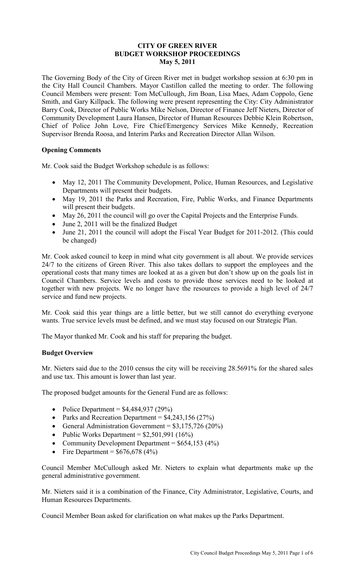## **CITY OF GREEN RIVER BUDGET WORKSHOP PROCEEDINGS May 5, 2011**

The Governing Body of the City of Green River met in budget workshop session at 6:30 pm in the City Hall Council Chambers. Mayor Castillon called the meeting to order. The following Council Members were present: Tom McCullough, Jim Boan, Lisa Maes, Adam Coppolo, Gene Smith, and Gary Killpack. The following were present representing the City: City Administrator Barry Cook, Director of Public Works Mike Nelson, Director of Finance Jeff Nieters, Director of Community Development Laura Hansen, Director of Human Resources Debbie Klein Robertson, Chief of Police John Love, Fire Chief/Emergency Services Mike Kennedy, Recreation Supervisor Brenda Roosa, and Interim Parks and Recreation Director Allan Wilson.

# **Opening Comments**

Mr. Cook said the Budget Workshop schedule is as follows:

- May 12, 2011 The Community Development, Police, Human Resources, and Legislative Departments will present their budgets.
- May 19, 2011 the Parks and Recreation, Fire, Public Works, and Finance Departments will present their budgets.
- May 26, 2011 the council will go over the Capital Projects and the Enterprise Funds.
- June 2, 2011 will be the finalized Budget
- June 21, 2011 the council will adopt the Fiscal Year Budget for 2011-2012. (This could be changed)

Mr. Cook asked council to keep in mind what city government is all about. We provide services 24/7 to the citizens of Green River. This also takes dollars to support the employees and the operational costs that many times are looked at as a given but don't show up on the goals list in Council Chambers. Service levels and costs to provide those services need to be looked at together with new projects. We no longer have the resources to provide a high level of 24/7 service and fund new projects.

Mr. Cook said this year things are a little better, but we still cannot do everything everyone wants. True service levels must be defined, and we must stay focused on our Strategic Plan.

The Mayor thanked Mr. Cook and his staff for preparing the budget.

## **Budget Overview**

Mr. Nieters said due to the 2010 census the city will be receiving 28.5691% for the shared sales and use tax. This amount is lower than last year.

The proposed budget amounts for the General Fund are as follows:

- Police Department =  $$4,484,937 (29%)$
- Parks and Recreation Department =  $$4,243,156$  (27%)
- General Administration Government =  $$3,175,726 (20%)$
- Public Works Department =  $$2,501,991 (16%)$
- Community Development Department =  $$654,153$  (4%)
- Fire Department =  $$676,678 (4%)$

Council Member McCullough asked Mr. Nieters to explain what departments make up the general administrative government.

Mr. Nieters said it is a combination of the Finance, City Administrator, Legislative, Courts, and Human Resources Departments.

Council Member Boan asked for clarification on what makes up the Parks Department.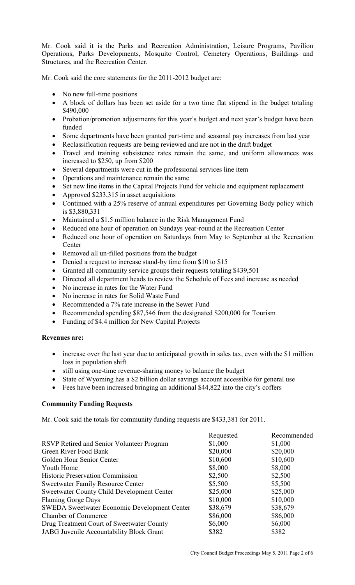Mr. Cook said it is the Parks and Recreation Administration, Leisure Programs, Pavilion Operations, Parks Developments, Mosquito Control, Cemetery Operations, Buildings and Structures, and the Recreation Center.

Mr. Cook said the core statements for the 2011-2012 budget are:

- No new full-time positions
- A block of dollars has been set aside for a two time flat stipend in the budget totaling \$490,000
- Probation/promotion adjustments for this year's budget and next year's budget have been funded
- Some departments have been granted part-time and seasonal pay increases from last year
- Reclassification requests are being reviewed and are not in the draft budget
- Travel and training subsistence rates remain the same, and uniform allowances was increased to \$250, up from \$200
- Several departments were cut in the professional services line item
- Operations and maintenance remain the same
- Set new line items in the Capital Projects Fund for vehicle and equipment replacement
- Approved \$233,315 in asset acquisitions
- Continued with a 25% reserve of annual expenditures per Governing Body policy which is \$3,880,331
- Maintained a \$1.5 million balance in the Risk Management Fund
- Reduced one hour of operation on Sundays year-round at the Recreation Center
- Reduced one hour of operation on Saturdays from May to September at the Recreation **Center**
- Removed all un-filled positions from the budget
- Denied a request to increase stand-by time from \$10 to \$15
- Granted all community service groups their requests totaling \$439,501
- Directed all department heads to review the Schedule of Fees and increase as needed
- No increase in rates for the Water Fund
- No increase in rates for Solid Waste Fund
- Recommended a 7% rate increase in the Sewer Fund
- Recommended spending \$87,546 from the designated \$200,000 for Tourism
- Funding of \$4.4 million for New Capital Projects

## **Revenues are:**

- increase over the last year due to anticipated growth in sales tax, even with the \$1 million loss in population shift
- still using one-time revenue-sharing money to balance the budget
- State of Wyoming has a \$2 billion dollar savings account accessible for general use
- Fees have been increased bringing an additional \$44,822 into the city's coffers

## **Community Funding Requests**

Mr. Cook said the totals for community funding requests are \$433,381 for 2011.

| Requested | Recommended |
|-----------|-------------|
| \$1,000   | \$1,000     |
| \$20,000  | \$20,000    |
| \$10,600  | \$10,600    |
| \$8,000   | \$8,000     |
| \$2,500   | \$2,500     |
| \$5,500   | \$5,500     |
| \$25,000  | \$25,000    |
| \$10,000  | \$10,000    |
| \$38,679  | \$38,679    |
| \$86,000  | \$86,000    |
| \$6,000   | \$6,000     |
| \$382     | \$382       |
|           |             |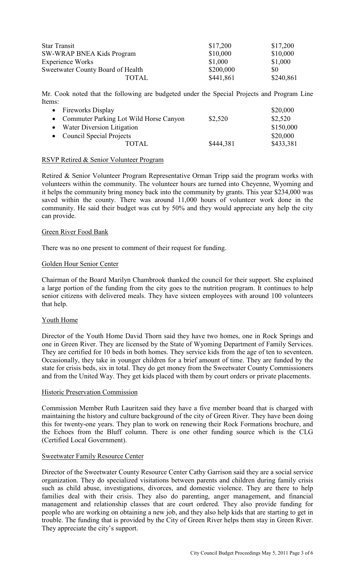| <b>Star Transit</b>               | \$17,200  | \$17,200  |
|-----------------------------------|-----------|-----------|
| <b>SW-WRAP BNEA Kids Program</b>  | \$10,000  | \$10,000  |
| Experience Works                  | \$1,000   | \$1,000   |
| Sweetwater County Board of Health | \$200,000 | \$0       |
| TOTAL                             | \$441,861 | \$240,861 |

Mr. Cook noted that the following are budgeted under the Special Projects and Program Line Items:

| • Fireworks Display                      |           | \$20,000  |
|------------------------------------------|-----------|-----------|
| • Commuter Parking Lot Wild Horse Canyon | \$2,520   | \$2,520   |
| • Water Diversion Litigation             |           | \$150,000 |
| • Council Special Projects               |           | \$20,000  |
| TOTAL                                    | \$444,381 | \$433,381 |

## RSVP Retired & Senior Volunteer Program

Retired & Senior Volunteer Program Representative Orman Tripp said the program works with volunteers within the community. The volunteer hours are turned into Cheyenne, Wyoming and it helps the community bring money back into the community by grants. This year \$234,000 was saved within the county. There was around 11,000 hours of volunteer work done in the community. He said their budget was cut by 50% and they would appreciate any help the city can provide.

#### Green River Food Bank

There was no one present to comment of their request for funding.

#### Golden Hour Senior Center

Chairman of the Board Marilyn Chambrook thanked the council for their support. She explained a large portion of the funding from the city goes to the nutrition program. It continues to help senior citizens with delivered meals. They have sixteen employees with around 100 volunteers that help.

## Youth Home

Director of the Youth Home David Thorn said they have two homes, one in Rock Springs and one in Green River. They are licensed by the State of Wyoming Department of Family Services. They are certified for 10 beds in both homes. They service kids from the age of ten to seventeen. Occasionally, they take in younger children for a brief amount of time. They are funded by the state for crisis beds, six in total. They do get money from the Sweetwater County Commissioners and from the United Way. They get kids placed with them by court orders or private placements.

#### Historic Preservation Commission

Commission Member Ruth Lauritzen said they have a five member board that is charged with maintaining the history and culture background of the city of Green River. They have been doing this for twenty-one years. They plan to work on renewing their Rock Formations brochure, and the Echoes from the Bluff column. There is one other funding source which is the CLG (Certified Local Government).

## Sweetwater Family Resource Center

Director of the Sweetwater County Resource Center Cathy Garrison said they are a social service organization. They do specialized visitations between parents and children during family crisis such as child abuse, investigations, divorces, and domestic violence. They are there to help families deal with their crisis. They also do parenting, anger management, and financial management and relationship classes that are court ordered. They also provide funding for people who are working on obtaining a new job, and they also help kids that are starting to get in trouble. The funding that is provided by the City of Green River helps them stay in Green River. They appreciate the city's support.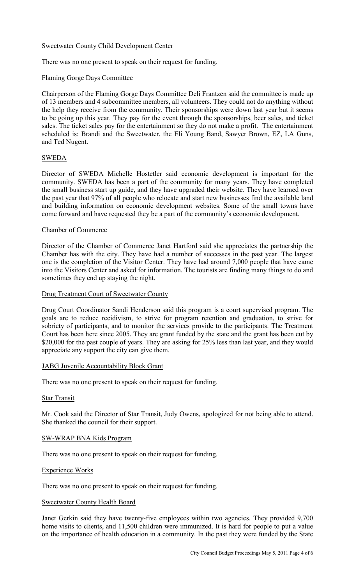# Sweetwater County Child Development Center

There was no one present to speak on their request for funding.

## Flaming Gorge Days Committee

Chairperson of the Flaming Gorge Days Committee Deli Frantzen said the committee is made up of 13 members and 4 subcommittee members, all volunteers. They could not do anything without the help they receive from the community. Their sponsorships were down last year but it seems to be going up this year. They pay for the event through the sponsorships, beer sales, and ticket sales. The ticket sales pay for the entertainment so they do not make a profit. The entertainment scheduled is: Brandi and the Sweetwater, the Eli Young Band, Sawyer Brown, EZ, LA Guns, and Ted Nugent.

# SWEDA

Director of SWEDA Michelle Hostetler said economic development is important for the community. SWEDA has been a part of the community for many years. They have completed the small business start up guide, and they have upgraded their website. They have learned over the past year that 97% of all people who relocate and start new businesses find the available land and building information on economic development websites. Some of the small towns have come forward and have requested they be a part of the community's economic development.

## Chamber of Commerce

Director of the Chamber of Commerce Janet Hartford said she appreciates the partnership the Chamber has with the city. They have had a number of successes in the past year. The largest one is the completion of the Visitor Center. They have had around 7,000 people that have came into the Visitors Center and asked for information. The tourists are finding many things to do and sometimes they end up staying the night.

## Drug Treatment Court of Sweetwater County

Drug Court Coordinator Sandi Henderson said this program is a court supervised program. The goals are to reduce recidivism, to strive for program retention and graduation, to strive for sobriety of participants, and to monitor the services provide to the participants. The Treatment Court has been here since 2005. They are grant funded by the state and the grant has been cut by \$20,000 for the past couple of years. They are asking for 25% less than last year, and they would appreciate any support the city can give them.

## JABG Juvenile Accountability Block Grant

There was no one present to speak on their request for funding.

## Star Transit

Mr. Cook said the Director of Star Transit, Judy Owens, apologized for not being able to attend. She thanked the council for their support.

## SW-WRAP BNA Kids Program

There was no one present to speak on their request for funding.

## Experience Works

There was no one present to speak on their request for funding.

## Sweetwater County Health Board

Janet Gerkin said they have twenty-five employees within two agencies. They provided 9,700 home visits to clients, and 11,500 children were immunized. It is hard for people to put a value on the importance of health education in a community. In the past they were funded by the State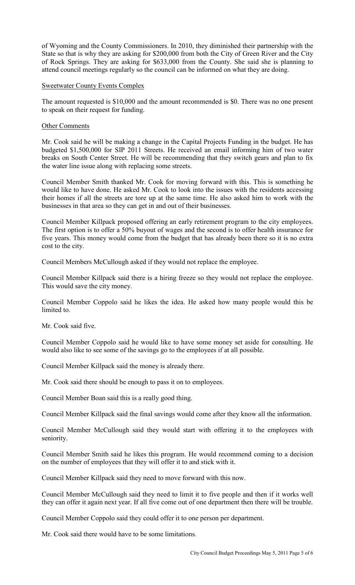of Wyoming and the County Commissioners. In 2010, they diminished their partnership with the State so that is why they are asking for \$200,000 from both the City of Green River and the City of Rock Springs. They are asking for \$633,000 from the County. She said she is planning to attend council meetings regularly so the council can be informed on what they are doing.

### Sweetwater County Events Complex

The amount requested is \$10,000 and the amount recommended is \$0. There was no one present to speak on their request for funding.

### Other Comments

Mr. Cook said he will be making a change in the Capital Projects Funding in the budget. He has budgeted \$1,500,000 for SIP 2011 Streets. He received an email informing him of two water breaks on South Center Street. He will be recommending that they switch gears and plan to fix the water line issue along with replacing some streets.

Council Member Smith thanked Mr. Cook for moving forward with this. This is something he would like to have done. He asked Mr. Cook to look into the issues with the residents accessing their homes if all the streets are tore up at the same time. He also asked him to work with the businesses in that area so they can get in and out of their businesses.

Council Member Killpack proposed offering an early retirement program to the city employees. The first option is to offer a 50% buyout of wages and the second is to offer health insurance for five years. This money would come from the budget that has already been there so it is no extra cost to the city.

Council Members McCullough asked if they would not replace the employee.

Council Member Killpack said there is a hiring freeze so they would not replace the employee. This would save the city money.

Council Member Coppolo said he likes the idea. He asked how many people would this be limited to.

Mr. Cook said five.

Council Member Coppolo said he would like to have some money set aside for consulting. He would also like to see some of the savings go to the employees if at all possible.

Council Member Killpack said the money is already there.

Mr. Cook said there should be enough to pass it on to employees.

Council Member Boan said this is a really good thing.

Council Member Killpack said the final savings would come after they know all the information.

Council Member McCullough said they would start with offering it to the employees with seniority.

Council Member Smith said he likes this program. He would recommend coming to a decision on the number of employees that they will offer it to and stick with it.

Council Member Killpack said they need to move forward with this now.

Council Member McCullough said they need to limit it to five people and then if it works well they can offer it again next year. If all five come out of one department then there will be trouble.

Council Member Coppolo said they could offer it to one person per department.

Mr. Cook said there would have to be some limitations.